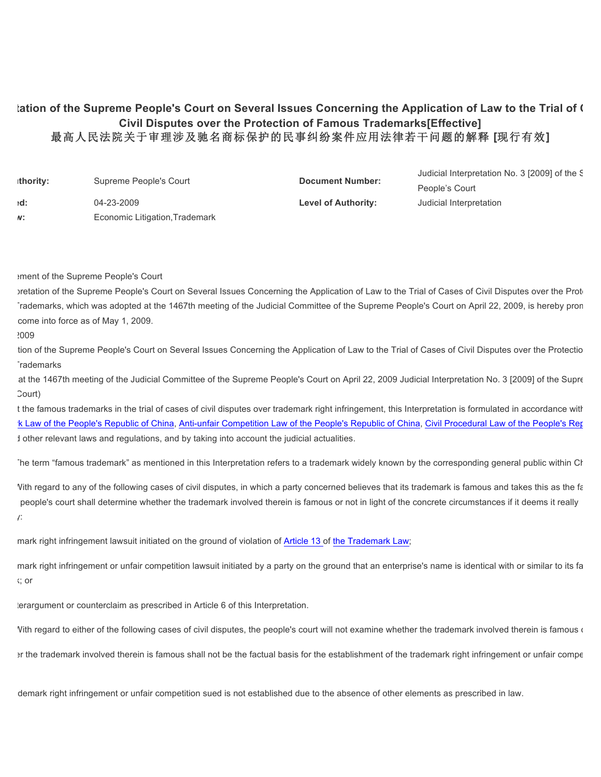## lation of the Supreme People's Court on Several Issues Concerning the Application of Law to the Trial of **Cases Civil Disputes over the Protection of Famous Trademarks[Effective]** 最高人民法院关于审理涉及驰名商标保护的民事纠纷案件应用法律若干问题的解释 **[**现行有效**]**

| thority: | Supreme People's Court         | <b>Document Number:</b>    | Judicial Interpretation No. 3 [2009] of the S |
|----------|--------------------------------|----------------------------|-----------------------------------------------|
|          |                                |                            | People's Court                                |
| :d       | 04-23-2009                     | <b>Level of Authority:</b> | Judicial Interpretation                       |
| N:       | Economic Litigation, Trademark |                            |                                               |

announcement of the Supreme People's Court

Intertation of the Supreme People's Court on Several Issues Concerning the Application of Law to the Trial of Cases of Civil Disputes over the Protection of Law to the Trial of Cases of Civil Disputes over the Protection Trademarks, which was adopted at the 1467th meeting of the Judicial Committee of the Supreme People's Court on April 22, 2009, is hereby pron come into force as of May 1, 2009.

 $2009$ 

tion of the Supreme People's Court on Several Issues Concerning the Application of Law to the Trial of Cases of Civil Disputes over the Protectio Trademarks

at the 1467th meeting of the Judicial Committee of the Supreme People's Court on April 22, 2009 Judicial Interpretation No. 3 [2009] of the Supre Court)

t the famous trademarks in the trial of cases of civil disputes over trademark right infringement, this Interpretation is formulated in accordance with K Law of the People's Republic of China, Anti-unfair Competition Law of the People's Republic of China, Civil Procedural Law of the People's Republic I other relevant laws and regulations, and by taking into account the judicial actualities.

The term "famous trademark" as mentioned in this Interpretation refers to a trademark widely known by the corresponding general public within China.

Vith regard to any of the following cases of civil disputes, in which a party concerned believes that its trademark is famous and takes this as the fa people's court shall determine whether the trademark involved therein is famous or not in light of the concrete circumstances if it deems it really  $\sqrt{2}$ 

mark right infringement lawsuit initiated on the ground of violation of Article 13 of the Trademark Law;

mark right infringement or unfair competition lawsuit initiated by a party on the ground that an enterprise's name is identical with or similar to its fa  $C$ ; or

3. a counterargument or counterclaim as prescribed in Article 6 of this Interpretation.

Vith regard to either of the following cases of civil disputes, the people's court will not examine whether the trademark involved therein is famous or

In the trademark involved therein is famous shall not be the factual basis for the establishment of the trademark right infringement or unfair competition

demark right infringement or unfair competition sued is not established due to the absence of other elements as prescribed in law.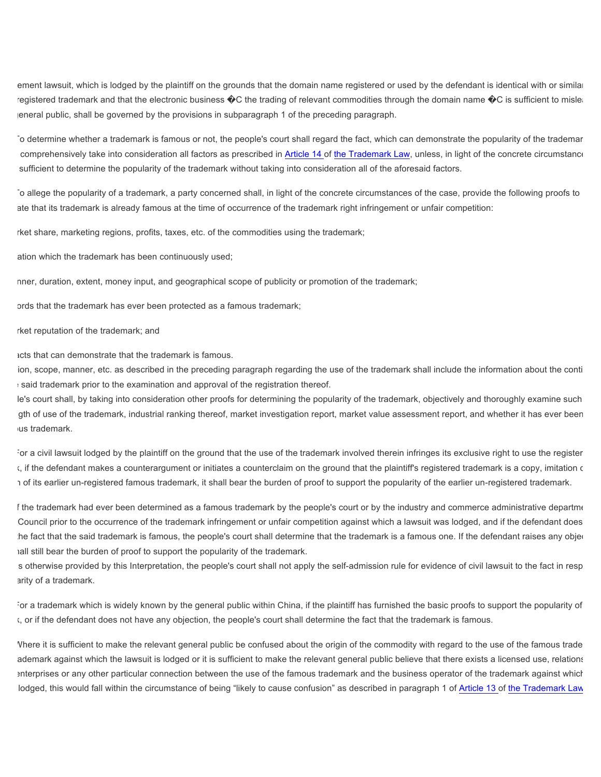ement lawsuit, which is lodged by the plaintiff on the grounds that the domain name registered or used by the defendant is identical with or similar registered trademark and that the electronic business  $\bigcirc$ C the trading of relevant commodities through the domain name  $\bigcirc$ C is sufficient to mislead eneral public, shall be governed by the provisions in subparagraph 1 of the preceding paragraph.

To determine whether a trademark is famous or not, the people's court shall regard the fact, which can demonstrate the popularity of the trademar comprehensively take into consideration all factors as prescribed in Article 14 of the Trademark Law, unless, in light of the concrete circumstance sufficient to determine the popularity of the trademark without taking into consideration all of the aforesaid factors.

To allege the popularity of a trademark, a party concerned shall, in light of the concrete circumstances of the case, provide the following proofs to ate that its trademark is already famous at the time of occurrence of the trademark right infringement or unfair competition:

rket share, marketing regions, profits, taxes, etc. of the commodities using the trademark;

ation which the trademark has been continuously used;

nner, duration, extent, money input, and geographical scope of publicity or promotion of the trademark;

ords that the trademark has ever been protected as a famous trademark;

rket reputation of the trademark; and

acts that can demonstrate that the trademark is famous.

ion, scope, manner, etc. as described in the preceding paragraph regarding the use of the trademark shall include the information about the conti said trademark prior to the examination and approval of the registration thereof.

Ie's court shall, by taking into consideration other proofs for determining the popularity of the trademark, objectively and thoroughly examine such gth of use of the trademark, industrial ranking thereof, market investigation report, market value assessment report, and whether it has ever been jus trademark.

For a civil lawsuit lodged by the plaintiff on the ground that the use of the trademark involved therein infringes its exclusive right to use the register  $\zeta$ , if the defendant makes a counterargument or initiates a counterclaim on the ground that the plaintiff's registered trademark is a copy, imitation  $\zeta$ 1 of its earlier un-registered famous trademark, it shall bear the burden of proof to support the popularity of the earlier un-registered trademark.

f the trademark had ever been determined as a famous trademark by the people's court or by the industry and commerce administrative department Council prior to the occurrence of the trademark infringement or unfair competition against which a lawsuit was lodged, and if the defendant does he fact that the said trademark is famous, the people's court shall determine that the trademark is a famous one. If the defendant raises any objection, hall still bear the burden of proof to support the popularity of the trademark.

s otherwise provided by this Interpretation, the people's court shall not apply the self-admission rule for evidence of civil lawsuit to the fact in resp arity of a trademark.

For a trademark which is widely known by the general public within China, if the plaintiff has furnished the basic proofs to support the popularity of  $t$ , or if the defendant does not have any objection, the people's court shall determine the fact that the trademark is famous.

Vhere it is sufficient to make the relevant general public be confused about the origin of the commodity with regard to the use of the famous trade ademark against which the lawsuit is lodged or it is sufficient to make the relevant general public believe that there exists a licensed use, relations enterprises or any other particular connection between the use of the famous trademark and the business operator of the trademark against which lodged, this would fall within the circumstance of being "likely to cause confusion" as described in paragraph 1 of Article 13 of the Trademark Law.